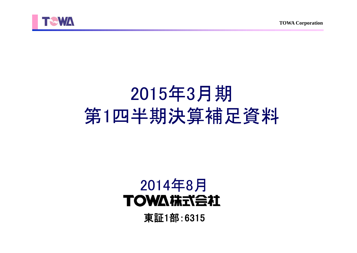



# 2015年3月期 第1四半期決算補足資料

## 2014年8月**TOWA #RTABLE**

東証1部:6315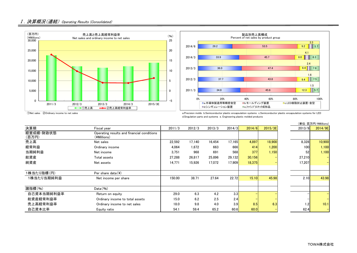



 ①Net sales ②Ordinary income to net sales a.Precision molds b.Semiconductor plastic encapsulation systems c.Semiconductor plastic encapsulation systems for LED d.Singulation parts and systems e. Engineering plastic molded products

|                    |                                                           |        |        |        |        |        |         |        | (単位:百万円/¥Millions) |
|--------------------|-----------------------------------------------------------|--------|--------|--------|--------|--------|---------|--------|--------------------|
| 決算期                | Fiscal year                                               | 2011/3 | 2012/3 | 2013/3 | 2014/3 | 2014/6 | 2015/3E | 2013/9 | 2014/9E            |
| 経営成績·財政状態<br>(百万円) | Operating results and financial conditions<br>(¥Millions) |        |        |        |        |        |         |        |                    |
| 売上高                | Net sales                                                 | 22,592 | 17,140 | 16,454 | 17,165 | 4,897  | 18,900  | 8,328  | 10,900             |
| 経常利益               | Ordinary income                                           | 4.064  | 1.672  | 663    | 666    | 414    | 1,200   | 100    | 1,100              |
| 当期純利益              | Net income                                                | 3,751  | 968    | 691    | 568    | 377    | 1,150   | 52     | 1,100              |
| 総資産                | Total assets                                              | 27.288 | 26.817 | 25,896 | 29,132 | 30,156 |         | 27,210 | $-$                |
| 純資産                | Net assets                                                | 14,771 | 15,926 | 17,072 | 17,909 | 18,375 |         | 17,207 |                    |
| 1株当たり指標(円)         | Per share data $(\frac{1}{2})$                            |        |        |        |        |        |         |        |                    |
| 1株当たり当期純利益         | Net income per share                                      | 150.00 | 38.71  | 27.64  | 22.72  | 15.10  | 45.98   | 2.10   | 43.98              |
| 諸指標(%)             | Data(% )                                                  |        |        |        |        |        |         |        |                    |
| 自己資本当期純利益率         | Return on equity                                          | 29.0   | 6.3    | 4.2    | 3.3    |        |         |        |                    |
| 総資産経常利益率           | Ordinary income to total assets                           | 15.0   | 6.2    | 2.5    | 2.4    |        |         |        |                    |
| 売上高経常利益率           | Ordinary income to net sales                              | 18.0   | 9.8    | 4.0    | 3.9    | 8.5    | 6.3     | 1.2    | 10.1               |
| 自己資本比率             | Equity ratio                                              | 54.1   | 59.4   | 65.2   | 60.6   | 60.0   |         | 62.4   |                    |

### TOWA株式会社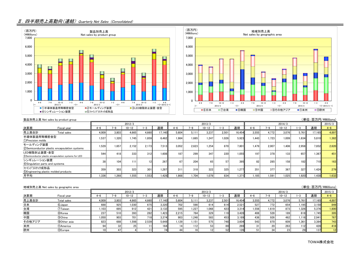## Ⅱ.四半期売上高動向(連結) Quarterly Net Sales (Consolidated)





|                                                                        | (単位:百万円/¥Millions)<br>製品別売上高 Net sales by product group |         |       |          |       |        |         |       |           |       |        |                  |         |           |       |        |         |
|------------------------------------------------------------------------|---------------------------------------------------------|---------|-------|----------|-------|--------|---------|-------|-----------|-------|--------|------------------|---------|-----------|-------|--------|---------|
|                                                                        |                                                         |         |       | 2012/3   |       |        |         |       | 2013/3    |       |        |                  | 2014/3  |           |       |        |         |
| 決算期                                                                    | Fiscal year                                             | $4 - 6$ | 7-9   | $0 - 12$ | -3    | 通期     | $4 - 6$ | 7-9   | $10 - 12$ | 1-3   | 通期     | $4 - 6$          | $7 - 9$ | $10 - 12$ | $-3$  | 通期     | $4 - 6$ |
| 売上高合計                                                                  | Total sales                                             | 4,009   | 3.803 | 4.665    | 4.660 | 17.140 | 5.604   | 5.111 | 3.237     | 2.501 | 16.454 | 3.555            | 4.772   | 3.076     | 5.761 | 17,165 | 4.897   |
| 半導体製造用等精密金型<br>1) Precision molds                                      |                                                         | 1.537   | 1.320 | 1.745    | 1.859 | 6.462  | 1.984   | 1.665 | 1.247     | 1.026 | 5.923  | 1.443            | 1.723   | 1.009     | 1.634 | 5,810  | 1.382   |
| モールディング装置                                                              | 2) Semiconductor plastic encapsulation systems          | 1.529   | 1.657 | 2.152    | 2.173 | 7.513  | 3.052   | 2.623 | 1.254     | 870   | 7,801  | 1.479            | 2.007   | 1.406     | 2.958 | 7,852  | 2.620   |
| LED樹脂封止装置·金型<br>3) Semiconductor plastic encapsulation systems for LED |                                                         | 544     | 418   | 333      | 312   | 1.608  | 187     | 299   | 347       | 220   | 1.055  | 197 <sub>1</sub> | 378     | 133       | 657   | 1.367  | 451     |
| シンギュレーション装置<br>4) Singulation parts and systems                        |                                                         | 38      | 104   | 111      | 12    | 267    | 67      | 204   | 65        | 57    | 395    | 82               | 285     | 158       | 182   | 710    | 163     |
| ファインプラスチック成形品<br>5) Engineering plastic molded products                |                                                         | 359     | 303   | 323      | 3011  | 1.287  | 311     | 318   | 322       | 325   | 1.277  | 351              | 377     | 367       | 327   | 1.424  | 279     |
| 月平均                                                                    |                                                         | 1.336   | 1.268 | .555     | 1.553 | 1.428  | 1.868   | .704  | 1.079     | 834   | .371   | 1.185            | 1.591   | .025      | 1.920 | 1.430  | 1.632   |

|        | 地域別売上高 Net sales by geographic area |         |       |           |            |        |         |         |           |       |        |         |         |           |       | (単位:百万円/¥Millions) |       |
|--------|-------------------------------------|---------|-------|-----------|------------|--------|---------|---------|-----------|-------|--------|---------|---------|-----------|-------|--------------------|-------|
| 2012/3 |                                     |         |       |           |            | 2013/3 |         |         |           |       |        |         | 2014/3  |           |       | 2015/3             |       |
| 決算期    | Fiscal year                         | $4 - 6$ | ι_α   | $10 - 12$ | -3         | 通期     | $4 - 6$ | $7 - 9$ | $10 - 12$ | 1-3   | 通期     | $4 - 6$ | $7 - 9$ | $10 - 12$ | $-3$  | 通期                 |       |
| 売上高合計  | Total sales                         | 4,009   | 3.803 | 4.665     | 4.660      | 17.140 | 5.604   | 5.11    | 3.237     | 2.501 | 16.454 | 3.555   | 4.772   | 3.076     | 5.761 | 17.165             | 4,897 |
| 日本     | 6 Japan                             | 688     | 925   | 1,030     | 675        | 3.320  | 702     | 590     | 614       | 614   | 2,521  | 527     | 772     | 654       | 1.195 | 3,150              | 849   |
| 台湾     | 7)Taiwan                            | ا 103.، | 695   | 912       | 421        | 3.132  | 595     | 1.227   | 1.0681    | 423   | 3.314  | 1.556   | 1.619   | 873       | 1.326 | 5,376              | 1,800 |
| 韓国     | 8)Korea                             | 237     | 510   | 393       | 282        | 1.423  | 2.215   | 764     | 329       | 119   | 3.428  | 408     | 528     | 189       | 618   | 1,745              | 305   |
| 中国     | <b>9</b> China                      | 1,050   | 903   | 701       | <b>718</b> | 3.374  | 903     | 1.248   | 583       | 453   | 3.189  | 436     | 926     | 462       | 1.116 | 2.941              | 767   |
| その他アジア | 100ther asia                        | 823     | 688   | 1.598     | 2.539      | 5.649  | .129    | 1.151   | 575       | 748   | 3.604  | 543     | 870     | 609       | 1.361 | 3,384              | 743   |
| 米州     | 11)America                          |         |       | 25        |            | 164    |         |         |           |       | 269    | 31      | 20      | 263       |       | 428                | 418   |
| 欧州     | 12Europe                            |         |       |           |            |        |         |         |           | 52    | 126    | 51      | 34      | 23        |       | 137                | 12    |

TOWA株式会社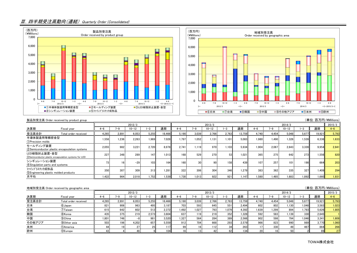## Ⅲ.四半期受注高動向(連結) Quarterly Order (Consolidated)





|                                                              | (単位:百万円/¥Millions)<br>製品別受注高 Order received by product group |                 |       |           |        |        |         |                 |           |       |        |         |         |           |       |        |         |
|--------------------------------------------------------------|--------------------------------------------------------------|-----------------|-------|-----------|--------|--------|---------|-----------------|-----------|-------|--------|---------|---------|-----------|-------|--------|---------|
|                                                              |                                                              | 2012/3          |       |           |        |        | 2013/3  |                 |           |       |        | 2014/3  |         |           |       |        | 2015/3  |
| 決算期                                                          | Fiscal year                                                  | $4 - 6$         | 7–9   | $10 - 12$ |        | 通期     | $4 - 6$ | $7 - 9$         | $10 - 12$ | $-3$  | 通期     | $4 - 6$ | $7 - 9$ | $10 - 12$ | $-3$  | 通期     | $4 - 6$ |
| 受注高合計                                                        | Total order received                                         | 4.265           | 2.891 | 6.053     | 5.255  | 18.466 | 5.190   | 3.039           | 2.766     | 2.763 | 13.759 | 4.740   | 4.454   | 5.048     | 5.677 | 19.921 | 5.793   |
| 半導体製造用等精密金型<br>(1) Precision molds                           |                                                              | 1.558           | 1.236 | 2.263     | 1.969  | 7.028  | 1.797   | 1.052           | 1.131     | 1.101 | 5.083  | 1.980   | 1.490   | 1.326     | 1.539 | 6,336  | 1.633   |
| モールディング装置                                                    | (2) Semiconductor plastic encapsulation systems              | 2.055           | 982   | 3.221     | 2.720  | 8.978  | 2.741   | 1.119           | 970       | 1.103 | 5.934  | 1.904   | 2.067   | 2.643     | 3.339 | 9.954  | 2.841   |
| LED樹脂封止装置·金型                                                 | 3) Semiconductor plastic encapsulation systems for LED       | 227             | 348   | 289       | 147    | 1.013  | 168     | 529             | 270       | 53    | 1.021  | 365     | 275     | 642       | 273   | 1.556  | 820     |
| シンギュレーション装置<br>4 Singulation parts and systems               |                                                              | 73 <sub>l</sub> |       | $-29$     | $1031$ | 164    | 160     | 30 <sup>1</sup> | 90        | 158   | 439    | 107     | 257     | 101       | 198   | 664    | 203     |
| ファインプラスチック成形品<br><b>SEngineering plastic molded products</b> |                                                              | 350             | 307   | 309       | 313    | 1.281  | 322     | 306             | 304       | 346   | 1.279  | 383     | 362     | 335       | 327   | 1.409  | 294     |
| 月平均                                                          |                                                              | 1,422           | 964   | 2,018     | .752   | 1,539  | 1.730   | 1.013           | 922       | 921   | 1.147  | 1,580   | 1.485   | 1.683     | 1.892 | 1,660  | 1,931   |

|        | 地域別受注高 Order received by geographic area |         |       |           |       |        |         |        |           |       |        |       |        |           |       | (単位:百万円/¥Millions) |       |
|--------|------------------------------------------|---------|-------|-----------|-------|--------|---------|--------|-----------|-------|--------|-------|--------|-----------|-------|--------------------|-------|
| 2012/3 |                                          |         |       |           |       |        |         | 2013/3 |           |       |        |       | 2014/3 |           |       | 2015/3             |       |
| 決算期    | Fiscal year                              | $4 - 6$ | 7—9.  | $10 - 12$ | -3    | 通期     | $4 - 6$ | 7-9    | $10 - 12$ | -3    | 通期     | 4-6   | 7–9    | $10 - 12$ |       | 通期                 | 4-6   |
| 受注高合計  | Total order received                     | 4.265   | 2.891 | 6.053     | 5.255 | 18.466 | 5.190   | 3.039  | 2.766     | 2.763 | 13.759 | 4.740 | 4.454  | 5.048     | 5.677 | 19,921             | 5,793 |
| 日本     | 6 Japan                                  | 821     | 906   | 963       | 495   | 3.187  | 703     | 593    | 645       | 551   | 2.494  | 602   | 802    | ا130 ، ،  | 1.048 | 3,583              | 1,023 |
| 台湾     | 7) Taiwan                                | 615     | 642   | 602       | 512   | 2.372  | 1.492   | 1.027  | 793       | 1.079 | 4.392  | 1.639 | 1.299  | 894       | 1.793 | 5,626              | 1.805 |
| 韓国     | 8) Korea                                 | 435     | 375   | 219       | 2.573 | 3.604  | 637     | 119    | 219       | 352   | 1.328  | 592   | 583    | ا 139.    | 330   | 2,645              |       |
| 中国     | <b>9</b> China                           | 1.801   | 746   | –გ.       | 981   | 3.520  | 1.327   | 564    | 284       | 389   | 2.566  | 902   | 598    | 794       | 1.046 | 3,341              | 1.608 |
| その他アジア | 10 Other asia                            | 503     | 196   | 4.202     | 657   | 5,559  | 912     | 704    | 668       | 293   | 2.579  | 966   | 823    | 990       | 989   | 3,770              | 1.060 |
| 米州     | 11)America                               |         |       | 27        |       |        |         |        |           | 34    | 263    |       | 330    |           | 467   | 864                | 266   |
| 欧州     | 12Europe                                 |         |       | 46        |       | 104    |         |        |           | 62    | 134    | 20    |        |           |       |                    | 27    |

TOWA株式会社